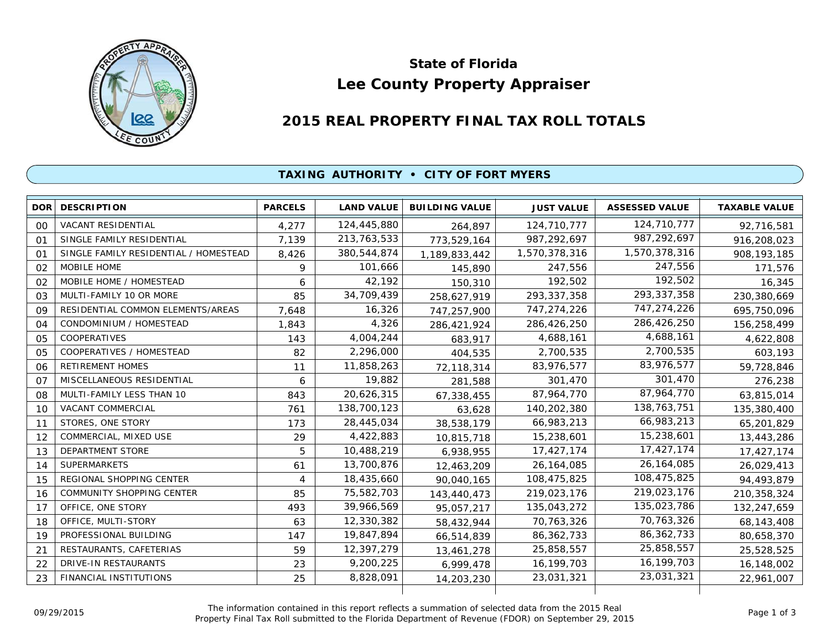

# **Lee County Property Appraiser State of Florida**

# **2015 REAL PROPERTY FINAL TAX ROLL TOTALS**

## **TAXING AUTHORITY • CITY OF FORT MYERS**

| <b>DOR</b> | <b>DESCRIPTION</b>                    | <b>PARCELS</b> | <b>LAND VALUE</b> | <b>BUILDING VALUE</b> | <b>JUST VALUE</b> | <b>ASSESSED VALUE</b> | <b>TAXABLE VALUE</b> |
|------------|---------------------------------------|----------------|-------------------|-----------------------|-------------------|-----------------------|----------------------|
| 00         | <b>VACANT RESIDENTIAL</b>             | 4,277          | 124,445,880       | 264,897               | 124,710,777       | 124,710,777           | 92,716,581           |
| 01         | SINGLE FAMILY RESIDENTIAL             | 7,139          | 213, 763, 533     | 773,529,164           | 987,292,697       | 987,292,697           | 916,208,023          |
| $\Omega$ 1 | SINGLE FAMILY RESIDENTIAL / HOMESTEAD | 8,426          | 380,544,874       | 1,189,833,442         | 1,570,378,316     | 1,570,378,316         | 908, 193, 185        |
| 02         | MOBILE HOME                           | 9              | 101,666           | 145,890               | 247,556           | 247,556               | 171,576              |
| 02         | MOBILE HOME / HOMESTEAD               | 6              | 42,192            | 150,310               | 192,502           | 192,502               | 16,345               |
| 03         | MULTI-FAMILY 10 OR MORE               | 85             | 34,709,439        | 258,627,919           | 293, 337, 358     | 293, 337, 358         | 230,380,669          |
| 09         | RESIDENTIAL COMMON ELEMENTS/AREAS     | 7.648          | 16,326            | 747,257,900           | 747,274,226       | 747,274,226           | 695,750,096          |
| 04         | CONDOMINIUM / HOMESTEAD               | 1,843          | 4,326             | 286,421,924           | 286,426,250       | 286,426,250           | 156,258,499          |
| 05         | <b>COOPERATIVES</b>                   | 143            | 4,004,244         | 683,917               | 4,688,161         | 4,688,161             | 4,622,808            |
| 05         | COOPERATIVES / HOMESTEAD              | 82             | 2,296,000         | 404,535               | 2,700,535         | 2,700,535             | 603,193              |
| 06         | <b>RETIREMENT HOMES</b>               | 11             | 11,858,263        | 72,118,314            | 83,976,577        | 83,976,577            | 59,728,846           |
| 07         | MISCELLANEOUS RESIDENTIAL             | 6              | 19,882            | 281,588               | 301,470           | 301,470               | 276,238              |
| 08         | MULTI-FAMILY LESS THAN 10             | 843            | 20,626,315        | 67,338,455            | 87,964,770        | 87,964,770            | 63,815,014           |
| 10         | VACANT COMMERCIAL                     | 761            | 138,700,123       | 63,628                | 140,202,380       | 138,763,751           | 135,380,400          |
| 11         | STORES, ONE STORY                     | 173            | 28,445,034        | 38,538,179            | 66,983,213        | 66,983,213            | 65,201,829           |
| 12         | COMMERCIAL, MIXED USE                 | 29             | 4,422,883         | 10,815,718            | 15,238,601        | 15,238,601            | 13,443,286           |
| 13         | <b>DEPARTMENT STORE</b>               | 5              | 10,488,219        | 6,938,955             | 17,427,174        | 17,427,174            | 17,427,174           |
| 14         | <b>SUPERMARKETS</b>                   | 61             | 13,700,876        | 12,463,209            | 26, 164, 085      | 26,164,085            | 26,029,413           |
| 15         | REGIONAL SHOPPING CENTER              | 4              | 18,435,660        | 90,040,165            | 108,475,825       | 108,475,825           | 94,493,879           |
| 16         | <b>COMMUNITY SHOPPING CENTER</b>      | 85             | 75,582,703        | 143,440,473           | 219,023,176       | 219,023,176           | 210,358,324          |
| 17         | OFFICE, ONE STORY                     | 493            | 39,966,569        | 95,057,217            | 135,043,272       | 135,023,786           | 132,247,659          |
| 18         | OFFICE, MULTI-STORY                   | 63             | 12,330,382        | 58,432,944            | 70,763,326        | 70,763,326            | 68, 143, 408         |
| 19         | PROFESSIONAL BUILDING                 | 147            | 19,847,894        | 66,514,839            | 86, 362, 733      | 86, 362, 733          | 80,658,370           |
| 21         | RESTAURANTS, CAFETERIAS               | 59             | 12,397,279        | 13,461,278            | 25,858,557        | 25,858,557            | 25,528,525           |
| 22         | DRIVE-IN RESTAURANTS                  | 23             | 9,200,225         | 6,999,478             | 16, 199, 703      | 16,199,703            | 16,148,002           |
| 23         | FINANCIAL INSTITUTIONS                | 25             | 8,828,091         | 14,203,230            | 23,031,321        | 23,031,321            | 22,961,007           |
|            |                                       |                |                   |                       |                   |                       |                      |

The information contained in this report reflects a summation of selected data from the 2015 Real Ine information contained in this report reflects a summation of selected data from the 2015 Real<br>Property Final Tax Roll submitted to the Florida Department of Revenue (FDOR) on September 29, 2015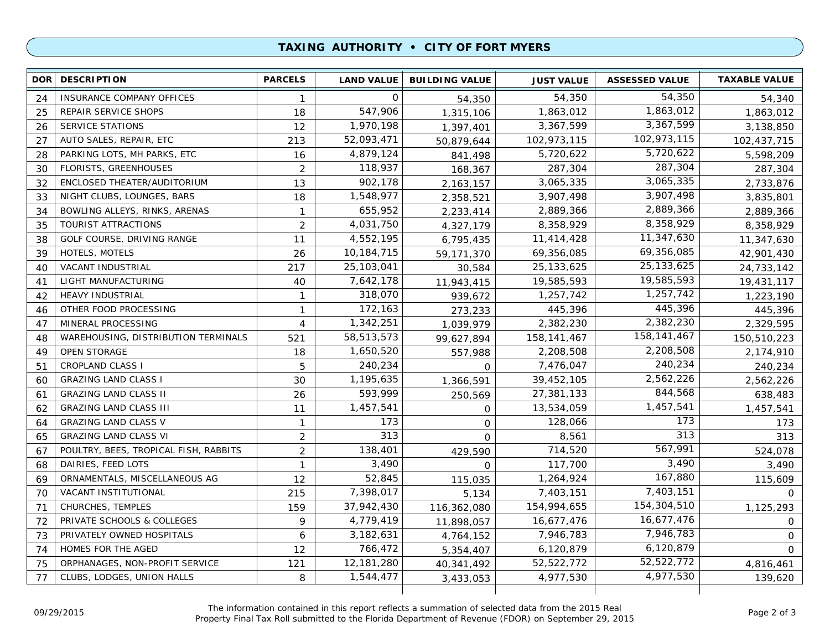### **TAXING AUTHORITY • CITY OF FORT MYERS**

| 24 | <b>INSURANCE COMPANY OFFICES</b>      |                |              |             |               |               |             |
|----|---------------------------------------|----------------|--------------|-------------|---------------|---------------|-------------|
|    |                                       | 1              | $\mathbf 0$  | 54,350      | 54,350        | 54,350        | 54,340      |
| 25 | REPAIR SERVICE SHOPS                  | 18             | 547,906      | 1,315,106   | 1,863,012     | 1,863,012     | 1,863,012   |
| 26 | <b>SERVICE STATIONS</b>               | 12             | 1,970,198    | 1,397,401   | 3,367,599     | 3,367,599     | 3,138,850   |
| 27 | AUTO SALES, REPAIR, ETC               | 213            | 52,093,471   | 50,879,644  | 102,973,115   | 102,973,115   | 102,437,715 |
| 28 | PARKING LOTS, MH PARKS, ETC           | 16             | 4,879,124    | 841,498     | 5,720,622     | 5,720,622     | 5,598,209   |
| 30 | FLORISTS, GREENHOUSES                 | $\overline{2}$ | 118,937      | 168,367     | 287,304       | 287,304       | 287,304     |
| 32 | ENCLOSED THEATER/AUDITORIUM           | 13             | 902,178      | 2, 163, 157 | 3,065,335     | 3,065,335     | 2,733,876   |
| 33 | NIGHT CLUBS, LOUNGES, BARS            | 18             | 1,548,977    | 2,358,521   | 3,907,498     | 3,907,498     | 3,835,801   |
| 34 | BOWLING ALLEYS, RINKS, ARENAS         | $\mathbf{1}$   | 655,952      | 2,233,414   | 2,889,366     | 2,889,366     | 2,889,366   |
| 35 | TOURIST ATTRACTIONS                   | $\overline{2}$ | 4,031,750    | 4,327,179   | 8,358,929     | 8,358,929     | 8,358,929   |
| 38 | GOLF COURSE, DRIVING RANGE            | 11             | 4,552,195    | 6,795,435   | 11,414,428    | 11,347,630    | 11,347,630  |
| 39 | HOTELS, MOTELS                        | 26             | 10,184,715   | 59,171,370  | 69,356,085    | 69,356,085    | 42,901,430  |
| 40 | VACANT INDUSTRIAL                     | 217            | 25, 103, 041 | 30,584      | 25, 133, 625  | 25, 133, 625  | 24,733,142  |
| 41 | LIGHT MANUFACTURING                   | 40             | 7,642,178    | 11,943,415  | 19,585,593    | 19,585,593    | 19,431,117  |
| 42 | HEAVY INDUSTRIAL                      | $\mathbf{1}$   | 318,070      | 939,672     | 1,257,742     | 1,257,742     | 1,223,190   |
| 46 | OTHER FOOD PROCESSING                 | $\mathbf{1}$   | 172,163      | 273,233     | 445,396       | 445,396       | 445,396     |
| 47 | MINERAL PROCESSING                    | 4              | 1,342,251    | 1,039,979   | 2,382,230     | 2,382,230     | 2,329,595   |
| 48 | WAREHOUSING, DISTRIBUTION TERMINALS   | 521            | 58,513,573   | 99.627.894  | 158, 141, 467 | 158, 141, 467 | 150,510,223 |
| 49 | <b>OPEN STORAGE</b>                   | 18             | 1,650,520    | 557,988     | 2,208,508     | 2,208,508     | 2,174,910   |
| 51 | <b>CROPLAND CLASS I</b>               | 5              | 240,234      | $\mathbf 0$ | 7,476,047     | 240,234       | 240,234     |
| 60 | <b>GRAZING LAND CLASS I</b>           | 30             | 1,195,635    | 1,366,591   | 39,452,105    | 2,562,226     | 2,562,226   |
| 61 | <b>GRAZING LAND CLASS II</b>          | 26             | 593,999      | 250,569     | 27,381,133    | 844,568       | 638,483     |
| 62 | <b>GRAZING LAND CLASS III</b>         | 11             | 1,457,541    | $\mathbf 0$ | 13,534,059    | 1,457,541     | 1,457,541   |
| 64 | <b>GRAZING LAND CLASS V</b>           | $\mathbf{1}$   | 173          | $\mathbf 0$ | 128,066       | 173           | 173         |
| 65 | <b>GRAZING LAND CLASS VI</b>          | $\overline{2}$ | 313          | $\mathbf 0$ | 8,561         | 313           | 313         |
| 67 | POULTRY, BEES, TROPICAL FISH, RABBITS | $\overline{2}$ | 138,401      | 429,590     | 714,520       | 567,991       | 524,078     |
| 68 | DAIRIES, FEED LOTS                    | 1              | 3,490        | $\Omega$    | 117,700       | 3,490         | 3,490       |
| 69 | ORNAMENTALS, MISCELLANEOUS AG         | 12             | 52,845       | 115,035     | 1,264,924     | 167,880       | 115,609     |
| 70 | VACANT INSTITUTIONAL                  | 215            | 7,398,017    | 5,134       | 7,403,151     | 7,403,151     | $\Omega$    |
| 71 | CHURCHES, TEMPLES                     | 159            | 37,942,430   | 116,362,080 | 154,994,655   | 154,304,510   | 1,125,293   |
| 72 | PRIVATE SCHOOLS & COLLEGES            | 9              | 4,779,419    | 11,898,057  | 16,677,476    | 16,677,476    | 0           |
| 73 | PRIVATELY OWNED HOSPITALS             | 6              | 3,182,631    | 4,764,152   | 7,946,783     | 7,946,783     | $\mathbf 0$ |
| 74 | HOMES FOR THE AGED                    | 12             | 766,472      | 5,354,407   | 6,120,879     | 6,120,879     | $\Omega$    |
| 75 | ORPHANAGES, NON-PROFIT SERVICE        | 121            | 12,181,280   | 40,341,492  | 52,522,772    | 52,522,772    | 4,816,461   |
| 77 | CLUBS, LODGES, UNION HALLS            | 8              | 1,544,477    | 3,433,053   | 4,977,530     | 4,977,530     | 139,620     |